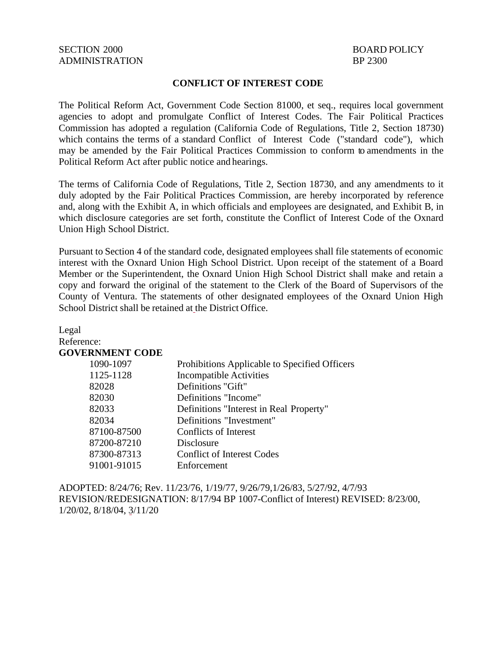#### **CONFLICT OF INTEREST CODE**

The Political Reform Act, Government Code Section 81000, et seq., requires local government agencies to adopt and promulgate Conflict of Interest Codes. The Fair Political Practices Commission has adopted a regulation (California Code of Regulations, Title 2, Section 18730) which contains the terms of a standard Conflict of Interest Code ("standard code"), which may be amended by the Fair Political Practices Commission to conform to amendments in the Political Reform Act after public notice and hearings.

The terms of California Code of Regulations, Title 2, Section 18730, and any amendments to it duly adopted by the Fair Political Practices Commission, are hereby incorporated by reference and, along with the Exhibit A, in which officials and employees are designated, and Exhibit B, in which disclosure categories are set forth, constitute the Conflict of Interest Code of the Oxnard Union High School District.

Pursuant to Section 4 of the standard code, designated employees shall file statements of economic interest with the Oxnard Union High School District. Upon receipt of the statement of a Board Member or the Superintendent, the Oxnard Union High School District shall make and retain a copy and forward the original of the statement to the Clerk of the Board of Supervisors of the County of Ventura. The statements of other designated employees of the Oxnard Union High School District shall be retained at the District Office.

| Legal                  |                                               |
|------------------------|-----------------------------------------------|
| Reference:             |                                               |
| <b>GOVERNMENT CODE</b> |                                               |
| 1090-1097              | Prohibitions Applicable to Specified Officers |
| 1125-1128              | <b>Incompatible Activities</b>                |
| 82028                  | Definitions "Gift"                            |
| 82030                  | Definitions "Income"                          |
| 82033                  | Definitions "Interest in Real Property"       |
| 82034                  | Definitions "Investment"                      |
| 87100-87500            | Conflicts of Interest                         |
| 87200-87210            | Disclosure                                    |
| 87300-87313            | <b>Conflict of Interest Codes</b>             |
| 91001-91015            | Enforcement                                   |

ADOPTED: 8/24/76; Rev. 11/23/76, 1/19/77, 9/26/79,1/26/83, 5/27/92, 4/7/93 REVISION/REDESIGNATION: 8/17/94 BP 1007-Conflict of Interest) REVISED: 8/23/00, 1/20/02, 8/18/04, 3/11/20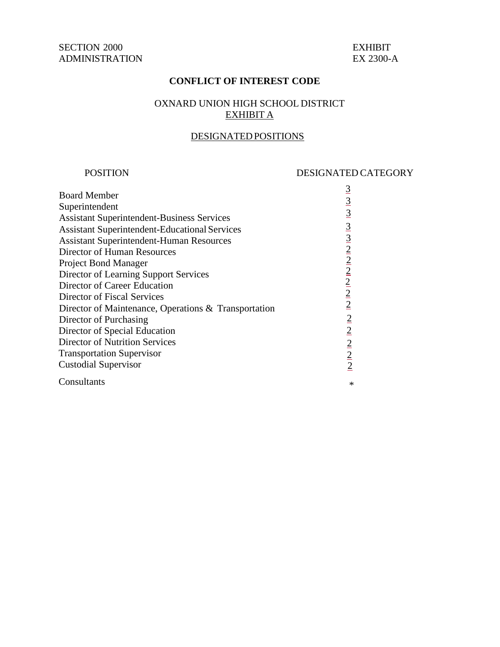### **CONFLICT OF INTEREST CODE**

## OXNARD UNION HIGH SCHOOL DISTRICT EXHIBIT A

## DESIGNATEDPOSITIONS

#### POSITION

#### DESIGNATED CATEGORY

| <b>Board Member</b><br>Superintendent<br><b>Assistant Superintendent-Business Services</b><br><b>Assistant Superintendent-Educational Services</b><br><b>Assistant Superintendent-Human Resources</b><br>Director of Human Resources<br><b>Project Bond Manager</b><br>Director of Learning Support Services<br>Director of Career Education<br>Director of Fiscal Services<br>Director of Maintenance, Operations & Transportation<br>Director of Purchasing<br>Director of Special Education<br><b>Director of Nutrition Services</b> | $\frac{3}{3}$ $\frac{3}{3}$ $\frac{3}{2}$ $\frac{3}{2}$ $\frac{2}{2}$ $\frac{2}{2}$ $\frac{2}{2}$ $\frac{2}{2}$ $\frac{2}{2}$ $\frac{2}{2}$<br>$\frac{2}{2}$ $\frac{2}{2}$ $\frac{2}{2}$ |
|-----------------------------------------------------------------------------------------------------------------------------------------------------------------------------------------------------------------------------------------------------------------------------------------------------------------------------------------------------------------------------------------------------------------------------------------------------------------------------------------------------------------------------------------|------------------------------------------------------------------------------------------------------------------------------------------------------------------------------------------|
| <b>Transportation Supervisor</b>                                                                                                                                                                                                                                                                                                                                                                                                                                                                                                        |                                                                                                                                                                                          |
| <b>Custodial Supervisor</b>                                                                                                                                                                                                                                                                                                                                                                                                                                                                                                             |                                                                                                                                                                                          |
| Consultants                                                                                                                                                                                                                                                                                                                                                                                                                                                                                                                             | $\ast$                                                                                                                                                                                   |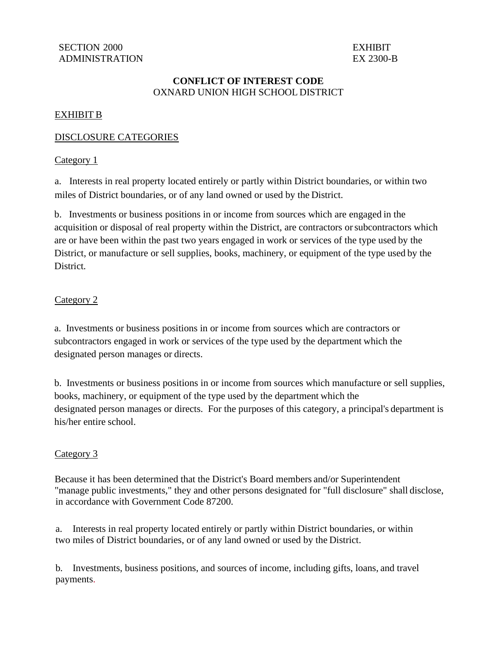## **CONFLICT OF INTEREST CODE** OXNARD UNION HIGH SCHOOL DISTRICT

## EXHIBIT B

## DISCLOSURE CATEGORIES

#### Category 1

a. Interests in real property located entirely or partly within District boundaries, or within two miles of District boundaries, or of any land owned or used by the District.

b. Investments or business positions in or income from sources which are engaged in the acquisition or disposal of real property within the District, are contractors or subcontractors which are or have been within the past two years engaged in work or services of the type used by the District, or manufacture or sell supplies, books, machinery, or equipment of the type used by the District.

### Category 2

a. Investments or business positions in or income from sources which are contractors or subcontractors engaged in work or services of the type used by the department which the designated person manages or directs.

b. Investments or business positions in or income from sources which manufacture or sell supplies, books, machinery, or equipment of the type used by the department which the designated person manages or directs. For the purposes of this category, a principal's department is his/her entire school.

## Category 3

Because it has been determined that the District's Board members and/or Superintendent "manage public investments," they and other persons designated for "full disclosure" shall disclose, in accordance with Government Code 87200.

a. Interests in real property located entirely or partly within District boundaries, or within two miles of District boundaries, or of any land owned or used by the District.

b. Investments, business positions, and sources of income, including gifts, loans, and travel payments.